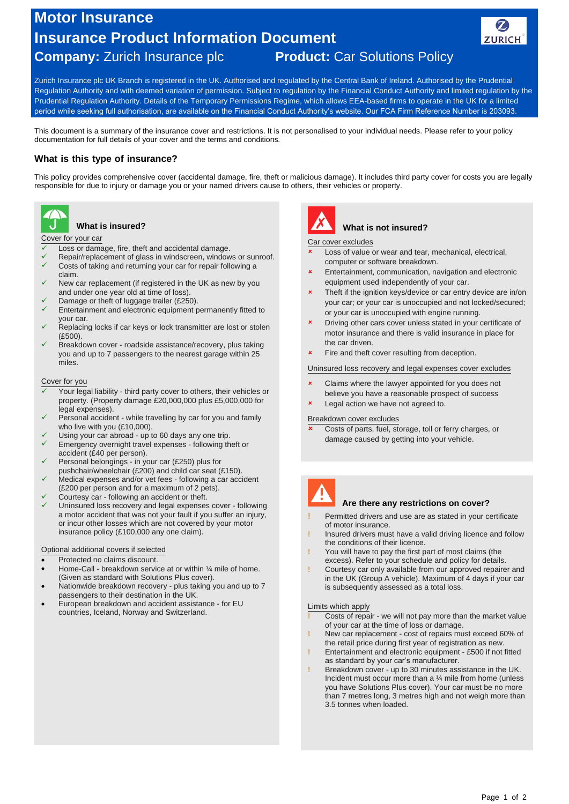# **Motor Insurance Insurance Product Information Document**



## **Company:** Zurich Insurance plc **Product:** Car Solutions Policy

Zurich Insurance plc UK Branch is registered in the UK. Authorised and regulated by the Central Bank of Ireland. Authorised by the Prudential Regulation Authority and with deemed variation of permission. Subject to regulation by the Financial Conduct Authority and limited regulation by the Prudential Regulation Authority. Details of the Temporary Permissions Regime, which allows EEA-based firms to operate in the UK for a limited period while seeking full authorisation, are available on the Financial Conduct Authority's website. Our FCA Firm Reference Number is 203093.

This document is a summary of the insurance cover and restrictions. It is not personalised to your individual needs. Please refer to your policy documentation for full details of your cover and the terms and conditions.

### **What is this type of insurance?**

This policy provides comprehensive cover (accidental damage, fire, theft or malicious damage). It includes third party cover for costs you are legally responsible for due to injury or damage you or your named drivers cause to others, their vehicles or property.



### **What is insured?**

Cover for your car

- Loss or damage, fire, theft and accidental damage.
- Repair/replacement of glass in windscreen, windows or sunroof. Costs of taking and returning your car for repair following a
- claim. New car replacement (if registered in the UK as new by you
- and under one year old at time of loss).
- Damage or theft of luggage trailer (£250).
- Entertainment and electronic equipment permanently fitted to your car.
- Replacing locks if car keys or lock transmitter are lost or stolen  $(F500)$ .
- Breakdown cover roadside assistance/recovery, plus taking you and up to 7 passengers to the nearest garage within 25 miles.

Cover for you

- Your legal liability third party cover to others, their vehicles or property. (Property damage £20,000,000 plus £5,000,000 for legal expenses).
- Personal accident while travelling by car for you and family who live with you (£10,000).
- Using your car abroad up to 60 days any one trip.
- Emergency overnight travel expenses following theft or accident (£40 per person).
- Personal belongings in your car (£250) plus for pushchair/wheelchair (£200) and child car seat (£150).
- Medical expenses and/or vet fees following a car accident (£200 per person and for a maximum of 2 pets).
- Courtesy car following an accident or theft. Uninsured loss recovery and legal expenses cover - following a motor accident that was not your fault if you suffer an injury, or incur other losses which are not covered by your motor insurance policy (£100,000 any one claim).
- Optional additional covers if selected
- Protected no claims discount.
- Home-Call breakdown service at or within ¼ mile of home. (Given as standard with Solutions Plus cover).
- Nationwide breakdown recovery plus taking you and up to 7 passengers to their destination in the UK.
- European breakdown and accident assistance for EU countries, Iceland, Norway and Switzerland.



### **What is not insured?**

Car cover excludes

- Loss of value or wear and tear, mechanical, electrical, computer or software breakdown.
- Entertainment, communication, navigation and electronic equipment used independently of your car.
- Theft if the ignition keys/device or car entry device are in/on your car; or your car is unoccupied and not locked/secured; or your car is unoccupied with engine running.
- Driving other cars cover unless stated in your certificate of motor insurance and there is valid insurance in place for the car driven.
- Fire and theft cover resulting from deception.

Uninsured loss recovery and legal expenses cover excludes

- Claims where the lawyer appointed for you does not believe you have a reasonable prospect of success
- Legal action we have not agreed to.

#### Breakdown cover excludes

 Costs of parts, fuel, storage, toll or ferry charges, or damage caused by getting into your vehicle.



#### **Are there any restrictions on cover?**

- **!** Permitted drivers and use are as stated in your certificate of motor insurance.
- **!** Insured drivers must have a valid driving licence and follow the conditions of their licence.
- **!** You will have to pay the first part of most claims (the excess). Refer to your schedule and policy for details.
- **!** Courtesy car only available from our approved repairer and in the UK (Group A vehicle). Maximum of 4 days if your car is subsequently assessed as a total loss.

#### Limits which apply

- **!** Costs of repair we will not pay more than the market value of your car at the time of loss or damage.
- **!** New car replacement cost of repairs must exceed 60% of the retail price during first year of registration as new.
- **!** Entertainment and electronic equipment £500 if not fitted as standard by your car's manufacturer.
- **!** Breakdown cover up to 30 minutes assistance in the UK. Incident must occur more than a ¼ mile from home (unless you have Solutions Plus cover). Your car must be no more than 7 metres long, 3 metres high and not weigh more than 3.5 tonnes when loaded.